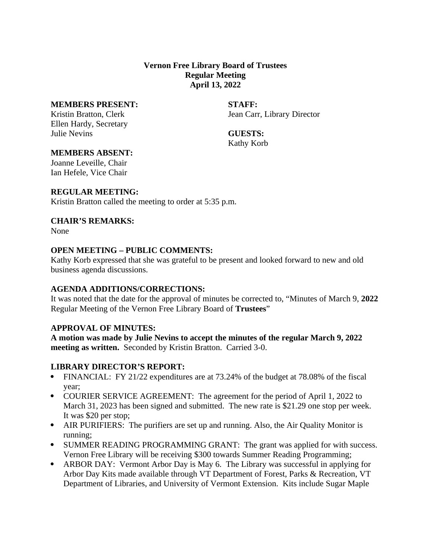# **Vernon Free Library Board of Trustees Regular Meeting April 13, 2022**

#### **MEMBERS PRESENT: STAFF:**

Ellen Hardy, Secretary Julie Nevins **GUESTS:**

Kristin Bratton, Clerk **International Carristin Bratton, Clerk** Jean Carr, Library Director

Kathy Korb

## **MEMBERS ABSENT:**

Joanne Leveille, Chair Ian Hefele, Vice Chair

## **REGULAR MEETING:**

Kristin Bratton called the meeting to order at 5:35 p.m.

## **CHAIR'S REMARKS:**

None

## **OPEN MEETING – PUBLIC COMMENTS:**

Kathy Korb expressed that she was grateful to be present and looked forward to new and old business agenda discussions.

# **AGENDA ADDITIONS/CORRECTIONS:**

It was noted that the date for the approval of minutes be corrected to, "Minutes of March 9, **2022** Regular Meeting of the Vernon Free Library Board of **Trustees**"

# **APPROVAL OF MINUTES:**

**A motion was made by Julie Nevins to accept the minutes of the regular March 9, 2022 meeting as written.** Seconded by Kristin Bratton. Carried 3-0.

# **LIBRARY DIRECTOR'S REPORT:**

- · FINANCIAL: FY 21/22 expenditures are at 73.24% of the budget at 78.08% of the fiscal year;
- · COURIER SERVICE AGREEMENT: The agreement for the period of April 1, 2022 to March 31, 2023 has been signed and submitted. The new rate is \$21.29 one stop per week. It was \$20 per stop;
- · AIR PURIFIERS: The purifiers are set up and running. Also, the Air Quality Monitor is running;
- SUMMER READING PROGRAMMING GRANT: The grant was applied for with success. Vernon Free Library will be receiving \$300 towards Summer Reading Programming;
- · ARBOR DAY: Vermont Arbor Day is May 6. The Library was successful in applying for Arbor Day Kits made available through VT Department of Forest, Parks & Recreation, VT Department of Libraries, and University of Vermont Extension. Kits include Sugar Maple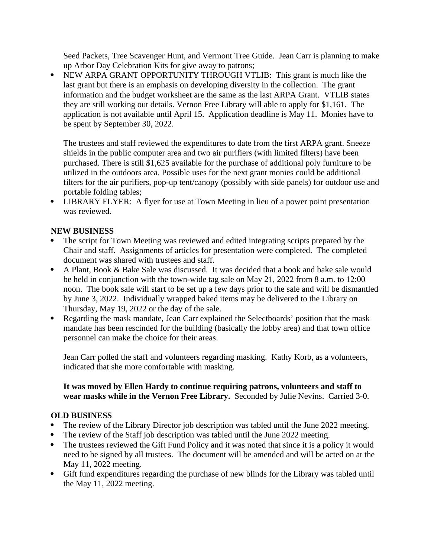Seed Packets, Tree Scavenger Hunt, and Vermont Tree Guide. Jean Carr is planning to make up Arbor Day Celebration Kits for give away to patrons;

· NEW ARPA GRANT OPPORTUNITY THROUGH VTLIB: This grant is much like the last grant but there is an emphasis on developing diversity in the collection. The grant information and the budget worksheet are the same as the last ARPA Grant. VTLIB states they are still working out details. Vernon Free Library will able to apply for \$1,161. The application is not available until April 15. Application deadline is May 11. Monies have to be spent by September 30, 2022.

The trustees and staff reviewed the expenditures to date from the first ARPA grant. Sneeze shields in the public computer area and two air purifiers (with limited filters) have been purchased. There is still \$1,625 available for the purchase of additional poly furniture to be utilized in the outdoors area. Possible uses for the next grant monies could be additional filters for the air purifiers, pop-up tent/canopy (possibly with side panels) for outdoor use and portable folding tables;

· LIBRARY FLYER: A flyer for use at Town Meeting in lieu of a power point presentation was reviewed.

# **NEW BUSINESS**

- The script for Town Meeting was reviewed and edited integrating scripts prepared by the Chair and staff. Assignments of articles for presentation were completed. The completed document was shared with trustees and staff.
- · A Plant, Book & Bake Sale was discussed. It was decided that a book and bake sale would be held in conjunction with the town-wide tag sale on May 21, 2022 from 8 a.m. to 12:00 noon. The book sale will start to be set up a few days prior to the sale and will be dismantled by June 3, 2022. Individually wrapped baked items may be delivered to the Library on Thursday, May 19, 2022 or the day of the sale.
- Regarding the mask mandate, Jean Carr explained the Selectboards' position that the mask mandate has been rescinded for the building (basically the lobby area) and that town office personnel can make the choice for their areas.

Jean Carr polled the staff and volunteers regarding masking. Kathy Korb, as a volunteers, indicated that she more comfortable with masking.

## **It was moved by Ellen Hardy to continue requiring patrons, volunteers and staff to wear masks while in the Vernon Free Library.** Seconded by Julie Nevins. Carried 3-0.

#### **OLD BUSINESS**

- The review of the Library Director job description was tabled until the June 2022 meeting.
- The review of the Staff job description was tabled until the June 2022 meeting.
- The trustees reviewed the Gift Fund Policy and it was noted that since it is a policy it would need to be signed by all trustees. The document will be amended and will be acted on at the May 11, 2022 meeting.
- · Gift fund expenditures regarding the purchase of new blinds for the Library was tabled until the May 11, 2022 meeting.